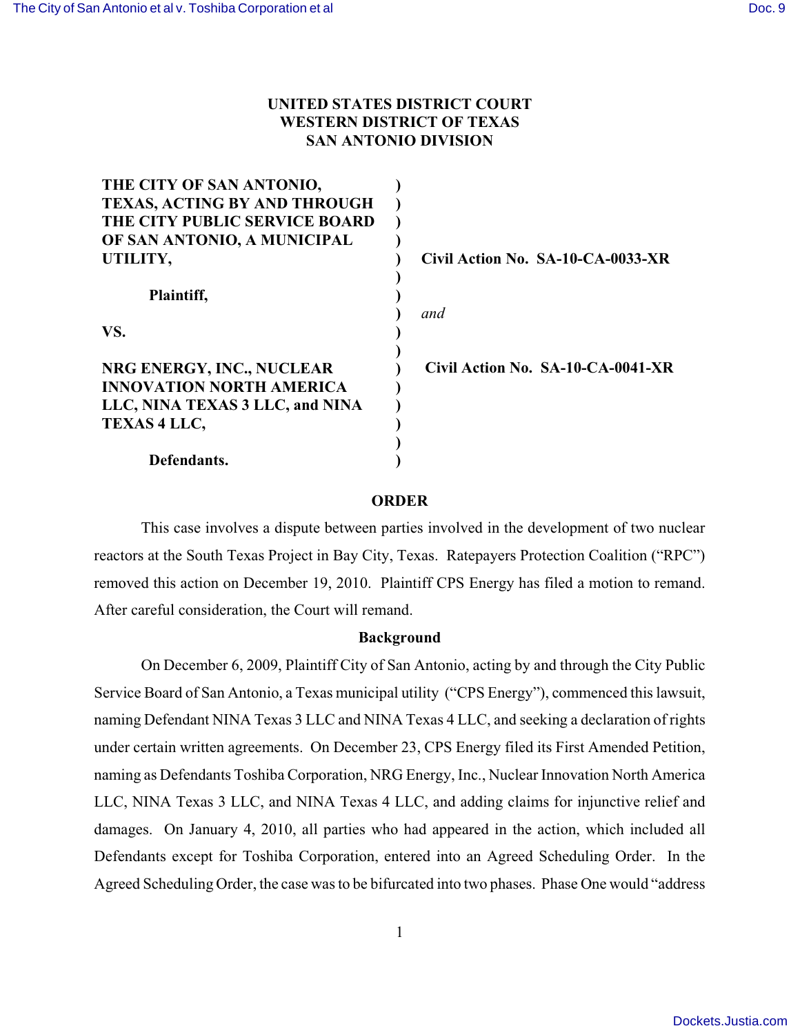# **UNITED STATES DISTRICT COURT WESTERN DISTRICT OF TEXAS SAN ANTONIO DIVISION**

| THE CITY OF SAN ANTONIO,        |                                   |
|---------------------------------|-----------------------------------|
| TEXAS, ACTING BY AND THROUGH    |                                   |
| THE CITY PUBLIC SERVICE BOARD   |                                   |
| OF SAN ANTONIO, A MUNICIPAL     |                                   |
| UTILITY,                        | Civil Action No. SA-10-CA-0033-XR |
|                                 |                                   |
| Plaintiff,                      |                                   |
|                                 | and                               |
| VS.                             |                                   |
|                                 |                                   |
| NRG ENERGY, INC., NUCLEAR       | Civil Action No. SA-10-CA-0041-XR |
| <b>INNOVATION NORTH AMERICA</b> |                                   |
| LLC, NINA TEXAS 3 LLC, and NINA |                                   |
| <b>TEXAS 4 LLC,</b>             |                                   |
|                                 |                                   |
| Defendants.                     |                                   |

### **ORDER**

This case involves a dispute between parties involved in the development of two nuclear reactors at the South Texas Project in Bay City, Texas. Ratepayers Protection Coalition ("RPC") removed this action on December 19, 2010. Plaintiff CPS Energy has filed a motion to remand. After careful consideration, the Court will remand.

## **Background**

On December 6, 2009, Plaintiff City of San Antonio, acting by and through the City Public Service Board of San Antonio, a Texas municipal utility ("CPS Energy"), commenced this lawsuit, naming Defendant NINA Texas 3 LLC and NINA Texas 4 LLC, and seeking a declaration of rights under certain written agreements. On December 23, CPS Energy filed its First Amended Petition, naming as Defendants Toshiba Corporation, NRG Energy, Inc., Nuclear Innovation North America LLC, NINA Texas 3 LLC, and NINA Texas 4 LLC, and adding claims for injunctive relief and damages. On January 4, 2010, all parties who had appeared in the action, which included all Defendants except for Toshiba Corporation, entered into an Agreed Scheduling Order. In the Agreed Scheduling Order, the case was to be bifurcated into two phases. Phase One would "address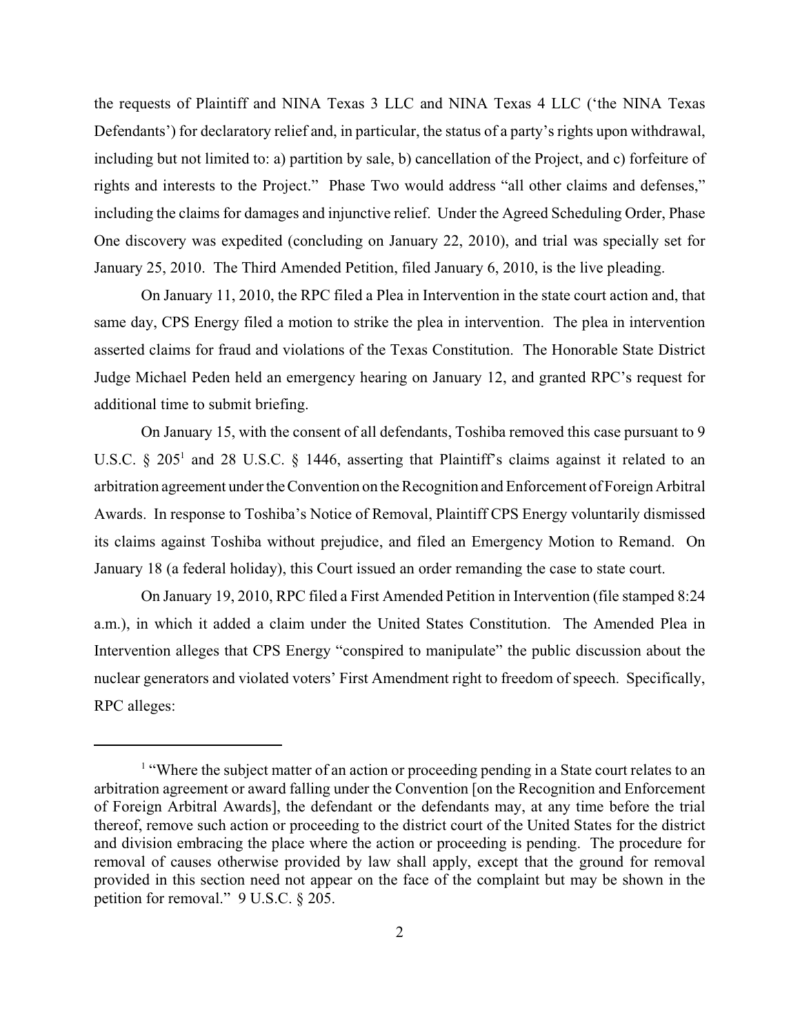the requests of Plaintiff and NINA Texas 3 LLC and NINA Texas 4 LLC ('the NINA Texas Defendants') for declaratory relief and, in particular, the status of a party's rights upon withdrawal, including but not limited to: a) partition by sale, b) cancellation of the Project, and c) forfeiture of rights and interests to the Project." Phase Two would address "all other claims and defenses," including the claims for damages and injunctive relief. Under the Agreed Scheduling Order, Phase One discovery was expedited (concluding on January 22, 2010), and trial was specially set for January 25, 2010. The Third Amended Petition, filed January 6, 2010, is the live pleading.

On January 11, 2010, the RPC filed a Plea in Intervention in the state court action and, that same day, CPS Energy filed a motion to strike the plea in intervention. The plea in intervention asserted claims for fraud and violations of the Texas Constitution. The Honorable State District Judge Michael Peden held an emergency hearing on January 12, and granted RPC's request for additional time to submit briefing.

On January 15, with the consent of all defendants, Toshiba removed this case pursuant to 9 U.S.C.  $\S$  205<sup>1</sup> and 28 U.S.C.  $\S$  1446, asserting that Plaintiff's claims against it related to an arbitration agreement under the Convention on the Recognition and Enforcement of Foreign Arbitral Awards. In response to Toshiba's Notice of Removal, Plaintiff CPS Energy voluntarily dismissed its claims against Toshiba without prejudice, and filed an Emergency Motion to Remand. On January 18 (a federal holiday), this Court issued an order remanding the case to state court.

On January 19, 2010, RPC filed a First Amended Petition in Intervention (file stamped 8:24 a.m.), in which it added a claim under the United States Constitution. The Amended Plea in Intervention alleges that CPS Energy "conspired to manipulate" the public discussion about the nuclear generators and violated voters' First Amendment right to freedom of speech. Specifically, RPC alleges:

 $<sup>1</sup>$  "Where the subject matter of an action or proceeding pending in a State court relates to an</sup> arbitration agreement or award falling under the Convention [on the Recognition and Enforcement of Foreign Arbitral Awards], the defendant or the defendants may, at any time before the trial thereof, remove such action or proceeding to the district court of the United States for the district and division embracing the place where the action or proceeding is pending. The procedure for removal of causes otherwise provided by law shall apply, except that the ground for removal provided in this section need not appear on the face of the complaint but may be shown in the petition for removal." 9 U.S.C. § 205.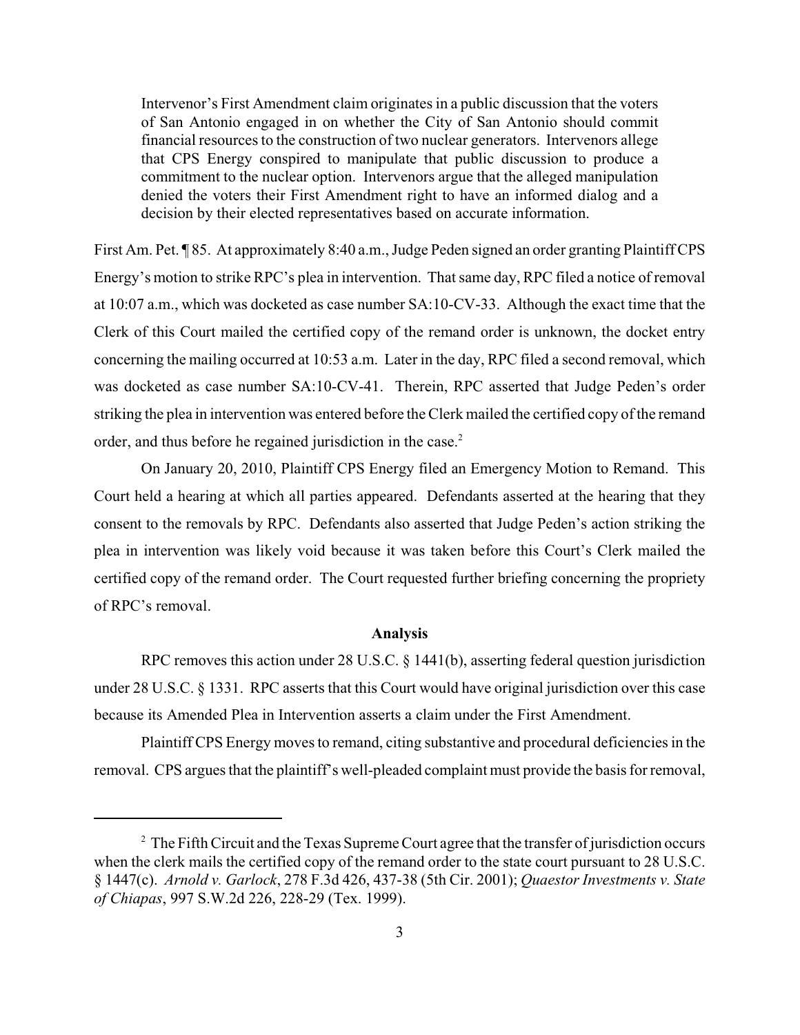Intervenor's First Amendment claim originates in a public discussion that the voters of San Antonio engaged in on whether the City of San Antonio should commit financial resources to the construction of two nuclear generators. Intervenors allege that CPS Energy conspired to manipulate that public discussion to produce a commitment to the nuclear option. Intervenors argue that the alleged manipulation denied the voters their First Amendment right to have an informed dialog and a decision by their elected representatives based on accurate information.

First Am. Pet. ¶ 85. At approximately 8:40 a.m., Judge Peden signed an order granting Plaintiff CPS Energy's motion to strike RPC's plea in intervention. That same day, RPC filed a notice of removal at 10:07 a.m., which was docketed as case number SA:10-CV-33. Although the exact time that the Clerk of this Court mailed the certified copy of the remand order is unknown, the docket entry concerning the mailing occurred at 10:53 a.m. Later in the day, RPC filed a second removal, which was docketed as case number SA:10-CV-41. Therein, RPC asserted that Judge Peden's order striking the plea in intervention was entered before the Clerk mailed the certified copy of the remand order, and thus before he regained jurisdiction in the case.<sup>2</sup>

On January 20, 2010, Plaintiff CPS Energy filed an Emergency Motion to Remand. This Court held a hearing at which all parties appeared. Defendants asserted at the hearing that they consent to the removals by RPC. Defendants also asserted that Judge Peden's action striking the plea in intervention was likely void because it was taken before this Court's Clerk mailed the certified copy of the remand order. The Court requested further briefing concerning the propriety of RPC's removal.

#### **Analysis**

RPC removes this action under 28 U.S.C. § 1441(b), asserting federal question jurisdiction under 28 U.S.C. § 1331. RPC asserts that this Court would have original jurisdiction over this case because its Amended Plea in Intervention asserts a claim under the First Amendment.

Plaintiff CPS Energy moves to remand, citing substantive and procedural deficiencies in the removal. CPS argues that the plaintiff's well-pleaded complaint must provide the basis for removal,

 $2$  The Fifth Circuit and the Texas Supreme Court agree that the transfer of jurisdiction occurs when the clerk mails the certified copy of the remand order to the state court pursuant to 28 U.S.C. § 1447(c). *Arnold v. Garlock*, 278 F.3d 426, 437-38 (5th Cir. 2001); *Quaestor Investments v. State of Chiapas*, 997 S.W.2d 226, 228-29 (Tex. 1999).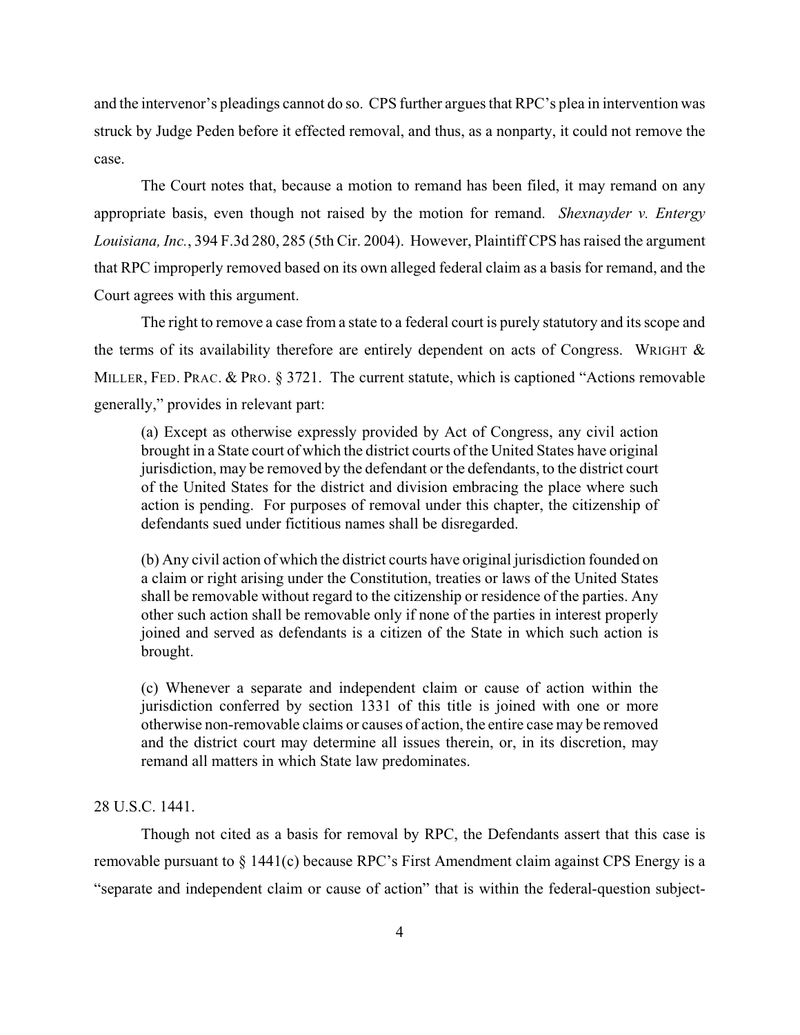and the intervenor's pleadings cannot do so. CPS further argues that RPC's plea in intervention was struck by Judge Peden before it effected removal, and thus, as a nonparty, it could not remove the case.

The Court notes that, because a motion to remand has been filed, it may remand on any appropriate basis, even though not raised by the motion for remand. *Shexnayder v. Entergy Louisiana, Inc.*, 394 F.3d 280, 285 (5th Cir. 2004). However, Plaintiff CPS has raised the argument that RPC improperly removed based on its own alleged federal claim as a basis for remand, and the Court agrees with this argument.

The right to remove a case from a state to a federal court is purely statutory and its scope and the terms of its availability therefore are entirely dependent on acts of Congress. WRIGHT  $\&$ MILLER, FED. PRAC. & PRO. § 3721. The current statute, which is captioned "Actions removable" generally," provides in relevant part:

(a) Except as otherwise expressly provided by Act of Congress, any civil action brought in a State court of which the district courts of the United States have original jurisdiction, may be removed by the defendant or the defendants, to the district court of the United States for the district and division embracing the place where such action is pending. For purposes of removal under this chapter, the citizenship of defendants sued under fictitious names shall be disregarded.

(b) Any civil action of which the district courts have original jurisdiction founded on a claim or right arising under the Constitution, treaties or laws of the United States shall be removable without regard to the citizenship or residence of the parties. Any other such action shall be removable only if none of the parties in interest properly joined and served as defendants is a citizen of the State in which such action is brought.

(c) Whenever a separate and independent claim or cause of action within the jurisdiction conferred by section 1331 of this title is joined with one or more otherwise non-removable claims or causes of action, the entire case may be removed and the district court may determine all issues therein, or, in its discretion, may remand all matters in which State law predominates.

28 U.S.C. 1441.

Though not cited as a basis for removal by RPC, the Defendants assert that this case is removable pursuant to § 1441(c) because RPC's First Amendment claim against CPS Energy is a "separate and independent claim or cause of action" that is within the federal-question subject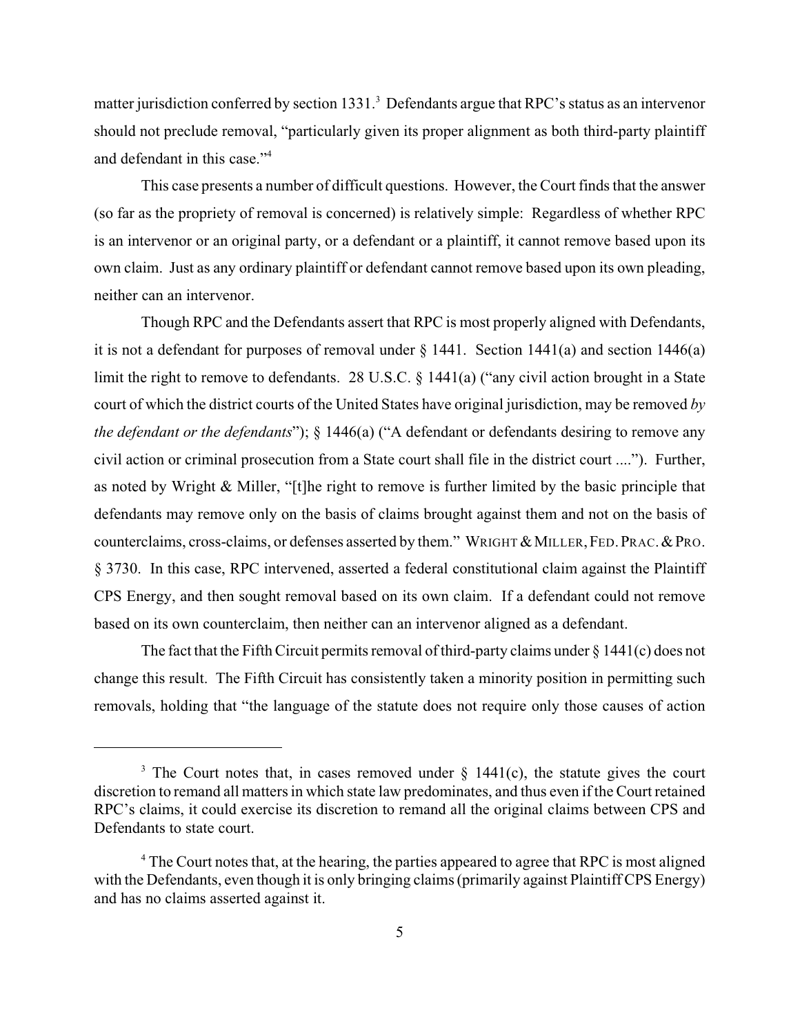matter jurisdiction conferred by section 1331.<sup>3</sup> Defendants argue that RPC's status as an intervenor should not preclude removal, "particularly given its proper alignment as both third-party plaintiff and defendant in this case."<sup>4</sup>

This case presents a number of difficult questions. However, the Court finds that the answer (so far as the propriety of removal is concerned) is relatively simple: Regardless of whether RPC is an intervenor or an original party, or a defendant or a plaintiff, it cannot remove based upon its own claim. Just as any ordinary plaintiff or defendant cannot remove based upon its own pleading, neither can an intervenor.

Though RPC and the Defendants assert that RPC is most properly aligned with Defendants, it is not a defendant for purposes of removal under  $\S$  1441. Section 1441(a) and section 1446(a) limit the right to remove to defendants. 28 U.S.C. § 1441(a) ("any civil action brought in a State court of which the district courts of the United States have original jurisdiction, may be removed *by the defendant or the defendants*"); § 1446(a) ("A defendant or defendants desiring to remove any civil action or criminal prosecution from a State court shall file in the district court ...."). Further, as noted by Wright & Miller, "[t]he right to remove is further limited by the basic principle that defendants may remove only on the basis of claims brought against them and not on the basis of counterclaims, cross-claims, or defenses asserted by them." WRIGHT  $&$  MILLER, FED. PRAC.  $&$  PRO. § 3730. In this case, RPC intervened, asserted a federal constitutional claim against the Plaintiff CPS Energy, and then sought removal based on its own claim. If a defendant could not remove based on its own counterclaim, then neither can an intervenor aligned as a defendant.

The fact that the Fifth Circuit permits removal of third-party claims under  $\S 1441(c)$  does not change this result. The Fifth Circuit has consistently taken a minority position in permitting such removals, holding that "the language of the statute does not require only those causes of action

<sup>&</sup>lt;sup>3</sup> The Court notes that, in cases removed under  $\S$  1441(c), the statute gives the court discretion to remand all matters in which state law predominates, and thus even if the Court retained RPC's claims, it could exercise its discretion to remand all the original claims between CPS and Defendants to state court.

 $\rm^4$  The Court notes that, at the hearing, the parties appeared to agree that RPC is most aligned with the Defendants, even though it is only bringing claims (primarily against Plaintiff CPS Energy) and has no claims asserted against it.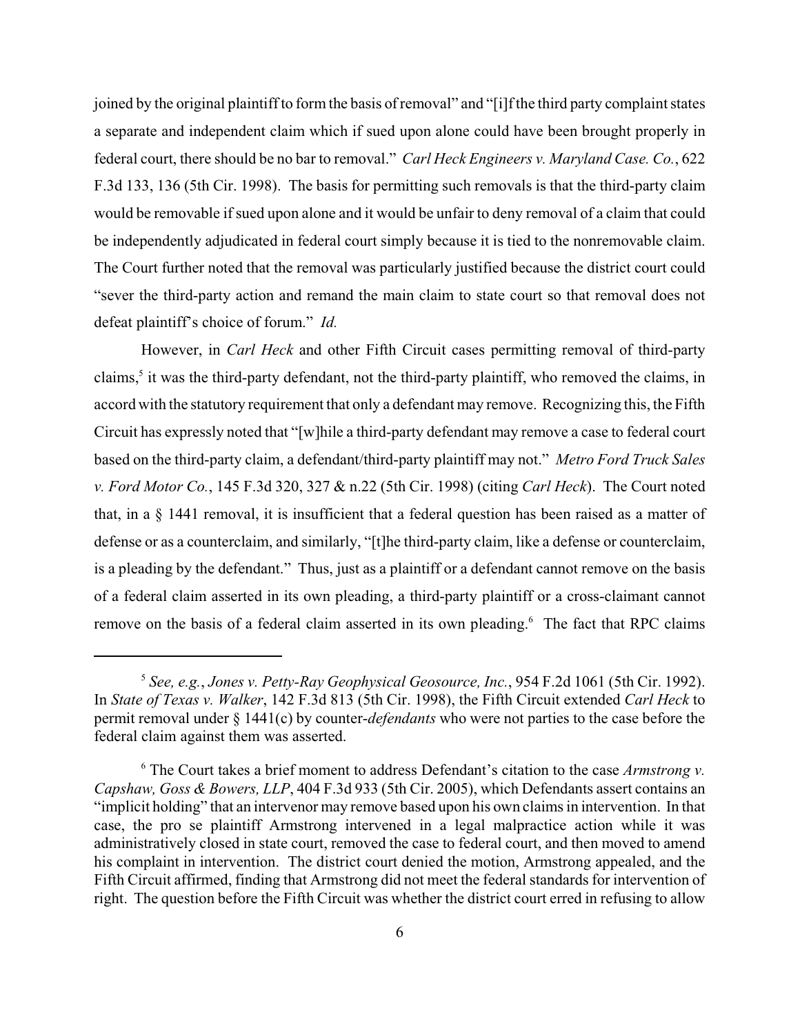joined by the original plaintiff to form the basis of removal" and "[i]f the third party complaint states a separate and independent claim which if sued upon alone could have been brought properly in federal court, there should be no bar to removal." *Carl Heck Engineers v. Maryland Case. Co.*, 622 F.3d 133, 136 (5th Cir. 1998). The basis for permitting such removals is that the third-party claim would be removable if sued upon alone and it would be unfair to deny removal of a claim that could be independently adjudicated in federal court simply because it is tied to the nonremovable claim. The Court further noted that the removal was particularly justified because the district court could "sever the third-party action and remand the main claim to state court so that removal does not defeat plaintiff's choice of forum." *Id.*

However, in *Carl Heck* and other Fifth Circuit cases permitting removal of third-party claims,<sup>5</sup> it was the third-party defendant, not the third-party plaintiff, who removed the claims, in accord with the statutory requirement that only a defendant may remove. Recognizing this, the Fifth Circuit has expressly noted that "[w]hile a third-party defendant may remove a case to federal court based on the third-party claim, a defendant/third-party plaintiff may not." *Metro Ford Truck Sales v. Ford Motor Co.*, 145 F.3d 320, 327 & n.22 (5th Cir. 1998) (citing *Carl Heck*). The Court noted that, in a § 1441 removal, it is insufficient that a federal question has been raised as a matter of defense or as a counterclaim, and similarly, "[t]he third-party claim, like a defense or counterclaim, is a pleading by the defendant." Thus, just as a plaintiff or a defendant cannot remove on the basis of a federal claim asserted in its own pleading, a third-party plaintiff or a cross-claimant cannot remove on the basis of a federal claim asserted in its own pleading.<sup>6</sup> The fact that RPC claims

*See, e.g.*, *Jones v. Petty-Ray Geophysical Geosource, Inc.*, 954 F.2d 1061 (5th Cir. 1992). <sup>5</sup> In *State of Texas v. Walker*, 142 F.3d 813 (5th Cir. 1998), the Fifth Circuit extended *Carl Heck* to permit removal under § 1441(c) by counter-*defendants* who were not parties to the case before the federal claim against them was asserted.

 $\delta$  The Court takes a brief moment to address Defendant's citation to the case *Armstrong v. Capshaw, Goss & Bowers, LLP*, 404 F.3d 933 (5th Cir. 2005), which Defendants assert contains an "implicit holding" that an intervenor may remove based upon his own claims in intervention. In that case, the pro se plaintiff Armstrong intervened in a legal malpractice action while it was administratively closed in state court, removed the case to federal court, and then moved to amend his complaint in intervention. The district court denied the motion, Armstrong appealed, and the Fifth Circuit affirmed, finding that Armstrong did not meet the federal standards for intervention of right. The question before the Fifth Circuit was whether the district court erred in refusing to allow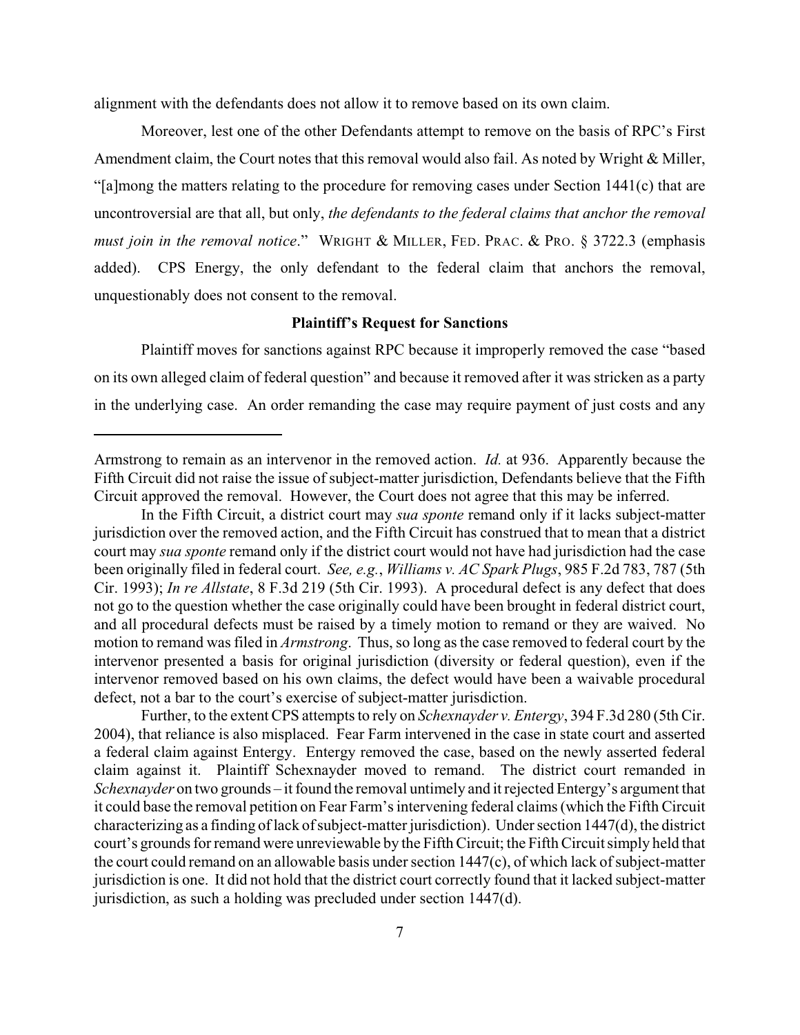alignment with the defendants does not allow it to remove based on its own claim.

Moreover, lest one of the other Defendants attempt to remove on the basis of RPC's First Amendment claim, the Court notes that this removal would also fail. As noted by Wright & Miller, "[a]mong the matters relating to the procedure for removing cases under Section 1441(c) that are uncontroversial are that all, but only, *the defendants to the federal claims that anchor the removal must join in the removal notice*." WRIGHT & MILLER, FED. PRAC. & PRO. § 3722.3 (emphasis added). CPS Energy, the only defendant to the federal claim that anchors the removal, unquestionably does not consent to the removal.

### **Plaintiff's Request for Sanctions**

Plaintiff moves for sanctions against RPC because it improperly removed the case "based on its own alleged claim of federal question" and because it removed after it was stricken as a party in the underlying case. An order remanding the case may require payment of just costs and any

Armstrong to remain as an intervenor in the removed action. *Id.* at 936. Apparently because the Fifth Circuit did not raise the issue of subject-matter jurisdiction, Defendants believe that the Fifth Circuit approved the removal. However, the Court does not agree that this may be inferred.

In the Fifth Circuit, a district court may *sua sponte* remand only if it lacks subject-matter jurisdiction over the removed action, and the Fifth Circuit has construed that to mean that a district court may *sua sponte* remand only if the district court would not have had jurisdiction had the case been originally filed in federal court. *See, e.g.*, *Williams v. AC Spark Plugs*, 985 F.2d 783, 787 (5th Cir. 1993); *In re Allstate*, 8 F.3d 219 (5th Cir. 1993). A procedural defect is any defect that does not go to the question whether the case originally could have been brought in federal district court, and all procedural defects must be raised by a timely motion to remand or they are waived. No motion to remand was filed in *Armstrong*. Thus, so long as the case removed to federal court by the intervenor presented a basis for original jurisdiction (diversity or federal question), even if the intervenor removed based on his own claims, the defect would have been a waivable procedural defect, not a bar to the court's exercise of subject-matter jurisdiction.

Further, to the extent CPS attempts to rely on *Schexnayder v. Entergy*, 394 F.3d 280 (5th Cir. 2004), that reliance is also misplaced. Fear Farm intervened in the case in state court and asserted a federal claim against Entergy. Entergy removed the case, based on the newly asserted federal claim against it. Plaintiff Schexnayder moved to remand. The district court remanded in *Schexnayder* on two grounds – it found the removal untimely and it rejected Entergy's argument that it could base the removal petition on Fear Farm's intervening federal claims (which the Fifth Circuit characterizing as a finding of lack of subject-matter jurisdiction). Under section 1447(d), the district court's grounds for remand were unreviewable by the Fifth Circuit; the Fifth Circuit simply held that the court could remand on an allowable basis under section 1447(c), of which lack of subject-matter jurisdiction is one. It did not hold that the district court correctly found that it lacked subject-matter jurisdiction, as such a holding was precluded under section 1447(d).